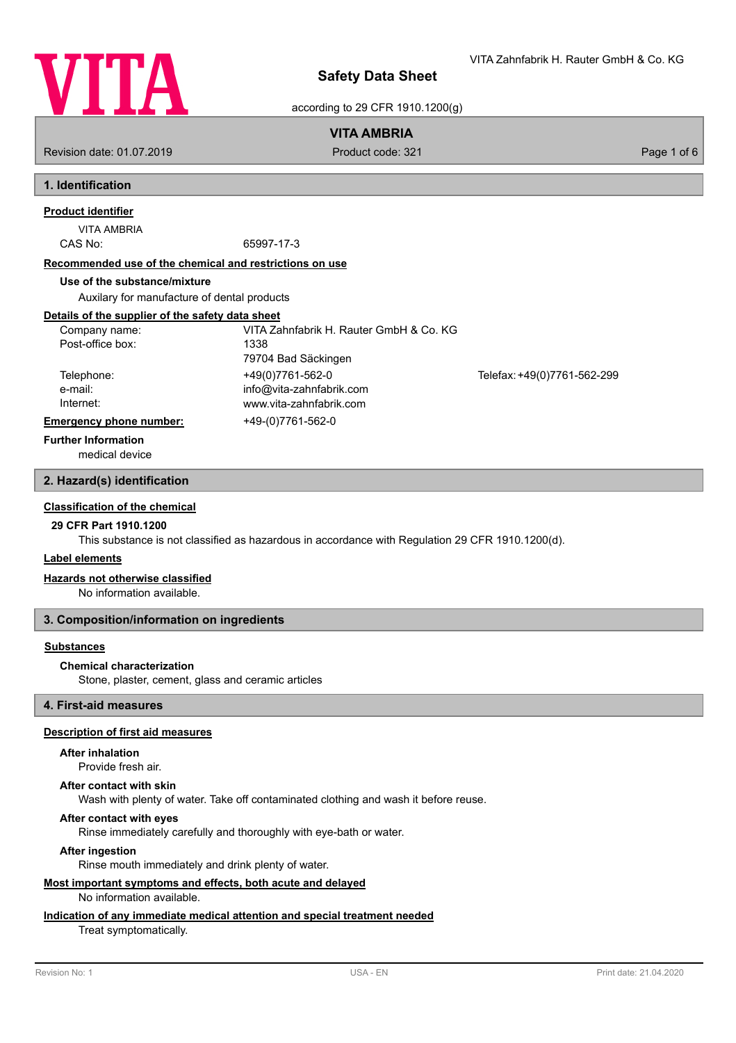

according to 29 CFR 1910.1200(g)

### **VITA AMBRIA**

Revision date: 01.07.2019 **Product code: 321** Product code: 321 **Page 1 of 6** Page 1 of 6

# **1. Identification**

# **Product identifier**

# VITA AMBRIA

CAS No: 65997-17-3

#### **Recommended use of the chemical and restrictions on use**

#### **Use of the substance/mixture**

Auxilary for manufacture of dental products

### **Details of the supplier of the safety data sheet**

| Company name:           | VITA Zahnfabrik H. Rauter GmbH & Co. KG |                             |
|-------------------------|-----------------------------------------|-----------------------------|
| Post-office box:        | 1338                                    |                             |
|                         | 79704 Bad Säckingen                     |                             |
| Telephone:              | +49(0)7761-562-0                        | Telefax: +49(0)7761-562-299 |
| e-mail:                 | info@vita-zahnfabrik.com                |                             |
| Internet:               | www.vita-zahnfabrik.com                 |                             |
| Emergency phone number: | +49-(0)7761-562-0                       |                             |

#### **Further Information**

medical device

### **2. Hazard(s) identification**

#### **Classification of the chemical**

### **29 CFR Part 1910.1200**

This substance is not classified as hazardous in accordance with Regulation 29 CFR 1910.1200(d).

#### **Label elements**

#### **Hazards not otherwise classified**

No information available.

#### **3. Composition/information on ingredients**

#### **Substances**

#### **Chemical characterization**

Stone, plaster, cement, glass and ceramic articles

**4. First-aid measures**

### **Description of first aid measures**

#### **After inhalation**

Provide fresh air.

#### **After contact with skin**

Wash with plenty of water. Take off contaminated clothing and wash it before reuse.

### **After contact with eyes**

Rinse immediately carefully and thoroughly with eye-bath or water.

### **After ingestion**

Rinse mouth immediately and drink plenty of water.

# **Most important symptoms and effects, both acute and delayed**

No information available.

### **Indication of any immediate medical attention and special treatment needed**

### Treat symptomatically.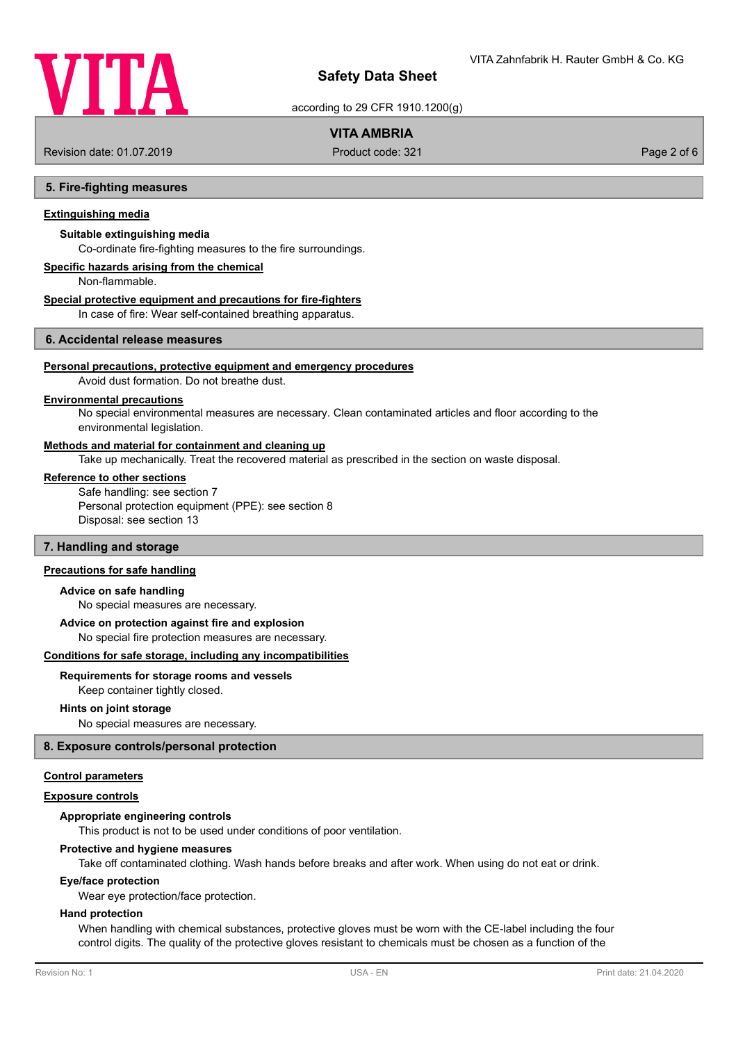

according to 29 CFR 1910.1200(g)

### **VITA AMBRIA**

Revision date: 01.07.2019 **Product code: 321** Product code: 321 **Page 2 of 6** Page 2 of 6

#### **5. Fire-fighting measures**

### **Extinguishing media**

### **Suitable extinguishing media**

Co-ordinate fire-fighting measures to the fire surroundings.

### **Specific hazards arising from the chemical**

Non-flammable.

#### **Special protective equipment and precautions for fire-fighters**

In case of fire: Wear self-contained breathing apparatus.

### **6. Accidental release measures**

#### **Personal precautions, protective equipment and emergency procedures**

Avoid dust formation. Do not breathe dust.

### **Environmental precautions**

No special environmental measures are necessary. Clean contaminated articles and floor according to the environmental legislation.

#### **Methods and material for containment and cleaning up**

Take up mechanically. Treat the recovered material as prescribed in the section on waste disposal.

#### **Reference to other sections**

Safe handling: see section 7 Personal protection equipment (PPE): see section 8 Disposal: see section 13

#### **7. Handling and storage**

#### **Precautions for safe handling**

#### **Advice on safe handling**

No special measures are necessary.

#### **Advice on protection against fire and explosion**

No special fire protection measures are necessary.

#### **Conditions for safe storage, including any incompatibilities**

#### **Requirements for storage rooms and vessels**

Keep container tightly closed.

#### **Hints on joint storage**

No special measures are necessary.

#### **8. Exposure controls/personal protection**

#### **Control parameters**

#### **Exposure controls**

#### **Appropriate engineering controls**

This product is not to be used under conditions of poor ventilation.

#### **Protective and hygiene measures**

Take off contaminated clothing. Wash hands before breaks and after work. When using do not eat or drink.

#### **Eye/face protection**

Wear eye protection/face protection.

#### **Hand protection**

When handling with chemical substances, protective gloves must be worn with the CE-label including the four control digits. The quality of the protective gloves resistant to chemicals must be chosen as a function of the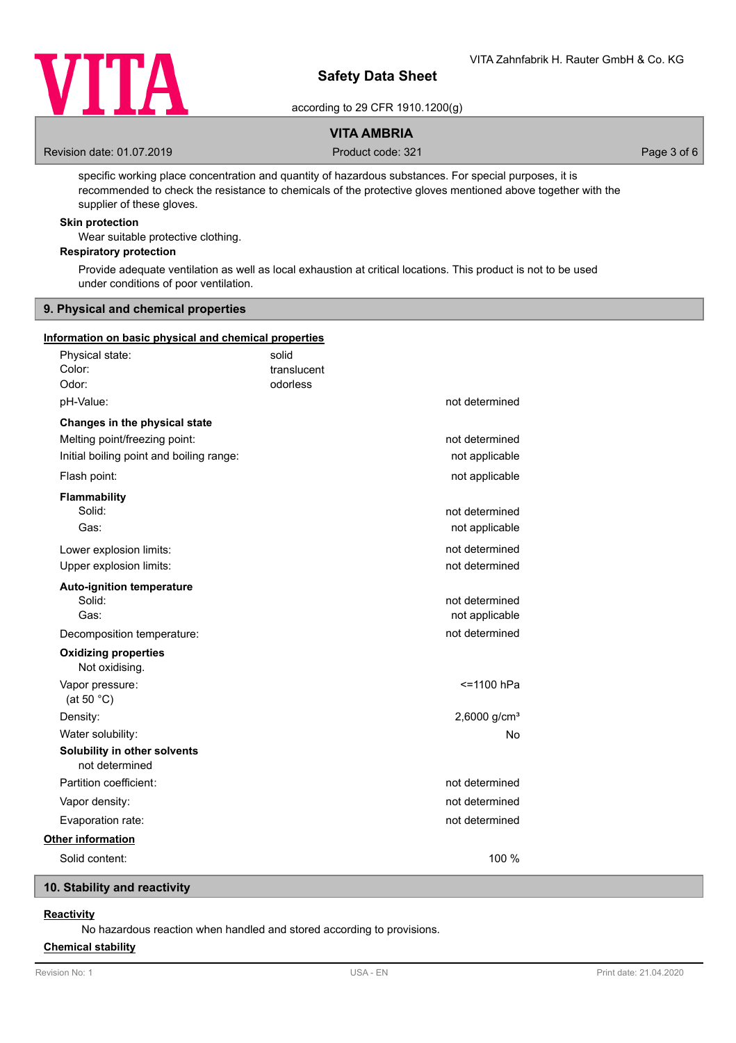

according to 29 CFR 1910.1200(g)

### **VITA AMBRIA**

Revision date: 01.07.2019 **Product code: 321** Product code: 321 **Page 3 of 6** Page 3 of 6

specific working place concentration and quantity of hazardous substances. For special purposes, it is recommended to check the resistance to chemicals of the protective gloves mentioned above together with the supplier of these gloves.

### **Skin protection**

Wear suitable protective clothing.

### **Respiratory protection**

Provide adequate ventilation as well as local exhaustion at critical locations. This product is not to be used under conditions of poor ventilation.

#### **9. Physical and chemical properties**

#### **Information on basic physical and chemical properties**

| Physical state:<br>Color:<br>Odor:                                                                         | solid<br>translucent<br>odorless |                                  |
|------------------------------------------------------------------------------------------------------------|----------------------------------|----------------------------------|
| pH-Value:                                                                                                  |                                  | not determined                   |
| Changes in the physical state<br>Melting point/freezing point:<br>Initial boiling point and boiling range: |                                  | not determined<br>not applicable |
| Flash point:                                                                                               |                                  | not applicable                   |
| <b>Flammability</b><br>Solid:<br>Gas:                                                                      |                                  | not determined<br>not applicable |
| Lower explosion limits:<br>Upper explosion limits:                                                         |                                  | not determined<br>not determined |
| <b>Auto-ignition temperature</b><br>Solid:<br>Gas:                                                         |                                  | not determined<br>not applicable |
| Decomposition temperature:                                                                                 |                                  | not determined                   |
| <b>Oxidizing properties</b><br>Not oxidising.                                                              |                                  |                                  |
| Vapor pressure:<br>(at 50 $^{\circ}$ C)                                                                    |                                  | <=1100 hPa                       |
| Density:                                                                                                   |                                  | 2,6000 g/cm <sup>3</sup>         |
| Water solubility:                                                                                          |                                  | No.                              |
| Solubility in other solvents<br>not determined                                                             |                                  |                                  |
| Partition coefficient:                                                                                     |                                  | not determined                   |
| Vapor density:                                                                                             |                                  | not determined                   |
| Evaporation rate:                                                                                          |                                  | not determined                   |
| <b>Other information</b>                                                                                   |                                  |                                  |
| Solid content:                                                                                             |                                  | 100 %                            |

### **10. Stability and reactivity**

# **Reactivity**

No hazardous reaction when handled and stored according to provisions.

### **Chemical stability**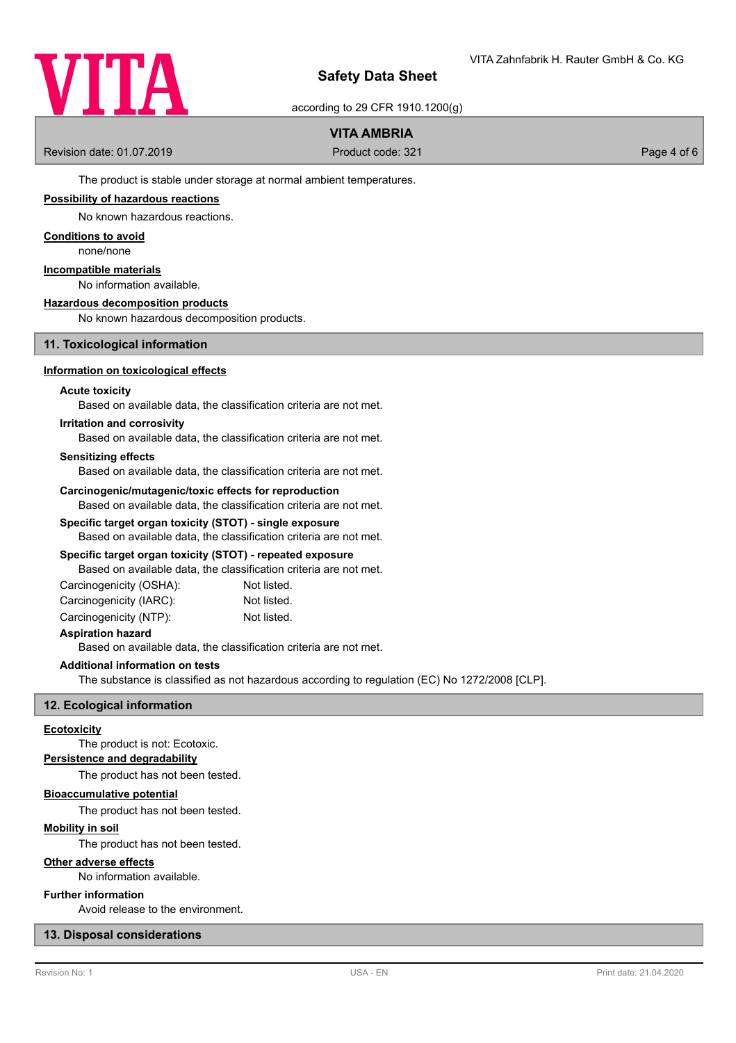

according to 29 CFR 1910.1200(g)

### **VITA AMBRIA**

Revision date: 01.07.2019 **Product code: 321** Product code: 321 **Page 4 of 6** 

The product is stable under storage at normal ambient temperatures.

### **Possibility of hazardous reactions**

No known hazardous reactions.

### **Conditions to avoid**

none/none

### **Incompatible materials**

No information available.

#### **Hazardous decomposition products**

No known hazardous decomposition products.

#### **11. Toxicological information**

#### **Information on toxicological effects**

#### **Acute toxicity**

Based on available data, the classification criteria are not met.

#### **Irritation and corrosivity**

Based on available data, the classification criteria are not met.

#### **Sensitizing effects**

Based on available data, the classification criteria are not met.

#### **Carcinogenic/mutagenic/toxic effects for reproduction**

Based on available data, the classification criteria are not met.

### **Specific target organ toxicity (STOT) - single exposure**

Based on available data, the classification criteria are not met.

#### **Specific target organ toxicity (STOT) - repeated exposure**

Based on available data, the classification criteria are not met.

| Carcinogenicity (OSHA): | Not listed. |
|-------------------------|-------------|
| Carcinogenicity (IARC): | Not listed. |
| Carcinogenicity (NTP):  | Not listed. |

#### **Aspiration hazard**

Based on available data, the classification criteria are not met.

#### **Additional information on tests**

The substance is classified as not hazardous according to regulation (EC) No 1272/2008 [CLP].

#### **12. Ecological information**

#### **Ecotoxicity**

The product is not: Ecotoxic.

### **Persistence and degradability**

The product has not been tested.

### **Bioaccumulative potential**

The product has not been tested.

### **Mobility in soil**

The product has not been tested.

#### **Other adverse effects**

No information available.

### **Further information**

Avoid release to the environment.

#### **13. Disposal considerations**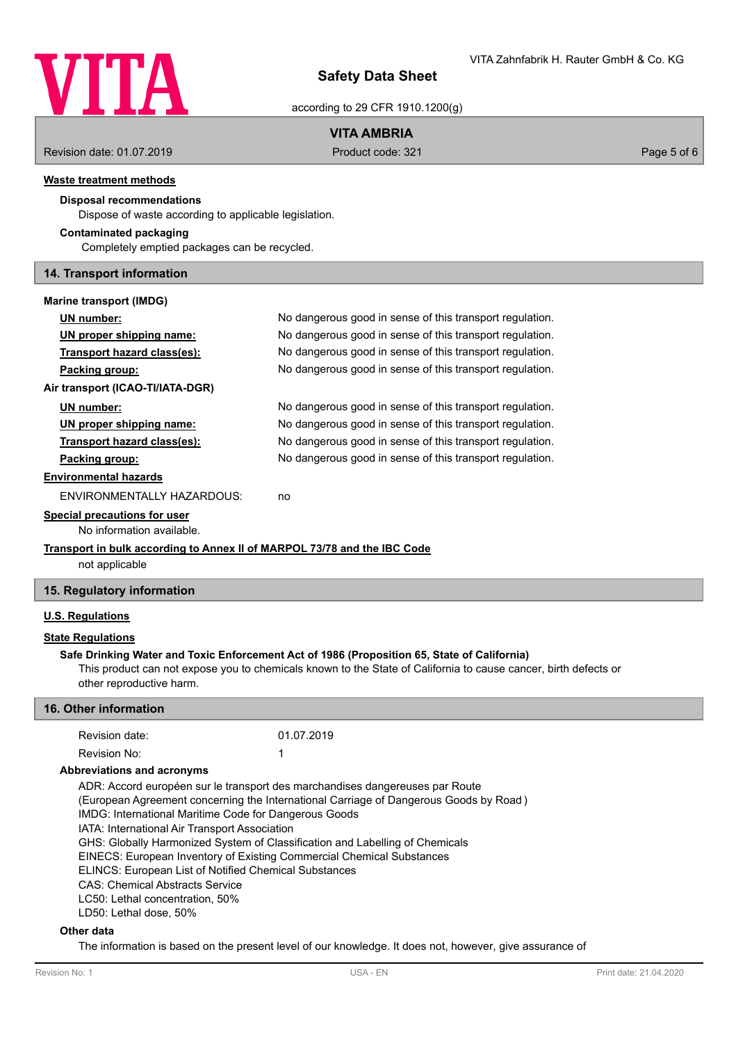

according to 29 CFR 1910.1200(g)

### **VITA AMBRIA**

Revision date: 01.07.2019 **Product code: 321** Product code: 321 **Page 5 of 6** Page 5 of 6

#### **Waste treatment methods**

### **Disposal recommendations**

Dispose of waste according to applicable legislation.

#### **Contaminated packaging**

Completely emptied packages can be recycled.

#### **14. Transport information**

### **Marine transport (IMDG)**

# **UN number:** No dangerous good in sense of this transport regulation. **UN proper shipping name:** No dangerous good in sense of this transport regulation. **Transport hazard class(es):** No dangerous good in sense of this transport regulation. **Packing group:** No dangerous good in sense of this transport regulation. **Air transport (ICAO-TI/IATA-DGR) UN number:** No dangerous good in sense of this transport regulation. **UN proper shipping name:** No dangerous good in sense of this transport regulation. **Transport hazard class(es):** No dangerous good in sense of this transport regulation. **Packing group:** No dangerous good in sense of this transport regulation. **Environmental hazards** ENVIRONMENTALLY HAZARDOUS: no **Special precautions for user** No information available. **Transport in bulk according to Annex II of MARPOL 73/78 and the IBC Code**

not applicable

### **15. Regulatory information**

### **U.S. Regulations**

### **State Regulations**

#### **Safe Drinking Water and Toxic Enforcement Act of 1986 (Proposition 65, State of California)**

This product can not expose you to chemicals known to the State of California to cause cancer, birth defects or other reproductive harm.

#### **16. Other information**

| Revision date: | 01.07.2019 |
|----------------|------------|
| Revision No:   |            |

#### **Abbreviations and acronyms**

ADR: Accord européen sur le transport des marchandises dangereuses par Route (European Agreement concerning the International Carriage of Dangerous Goods by Road ) IMDG: International Maritime Code for Dangerous Goods IATA: International Air Transport Association

GHS: Globally Harmonized System of Classification and Labelling of Chemicals

EINECS: European Inventory of Existing Commercial Chemical Substances

ELINCS: European List of Notified Chemical Substances

CAS: Chemical Abstracts Service

LC50: Lethal concentration, 50%

LD50: Lethal dose, 50%

#### **Other data**

The information is based on the present level of our knowledge. It does not, however, give assurance of